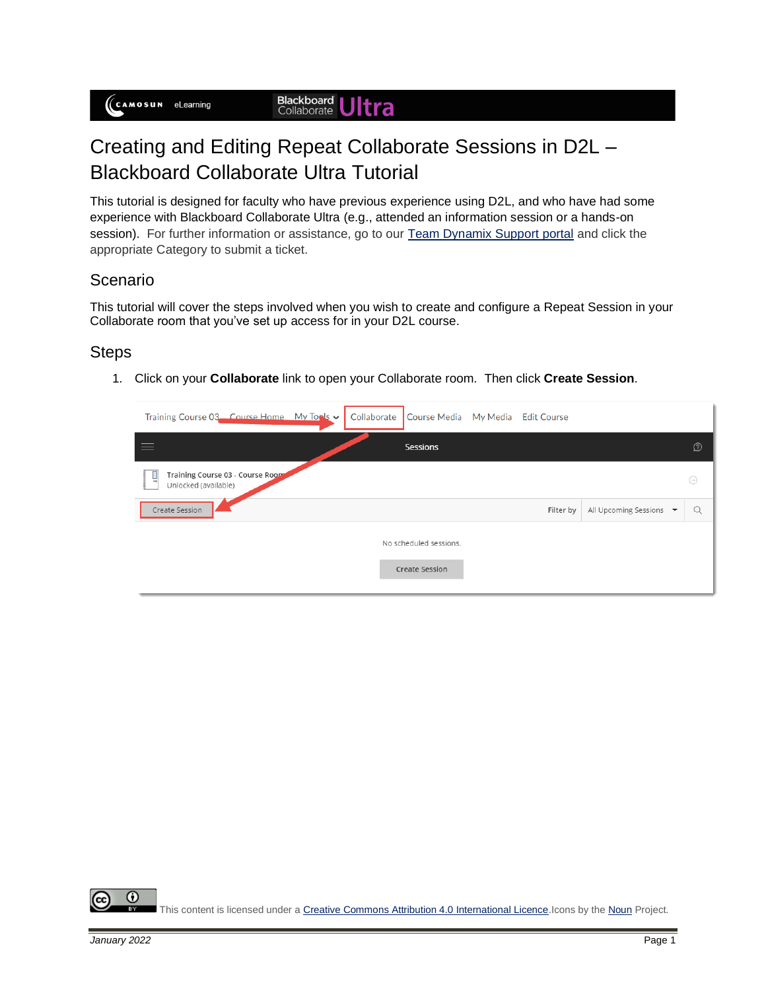## Creating and Editing Repeat Collaborate Sessions in D2L – Blackboard Collaborate Ultra Tutorial

This tutorial is designed for faculty who have previous experience using D2L, and who have had some experience with Blackboard Collaborate Ultra (e.g., attended an information session or a hands-on session). For further information or assistance, go to our [Team Dynamix Support portal](https://camosun.teamdynamix.com/TDClient/67/Portal/Requests/ServiceCatalog?CategoryID=523) and click the appropriate Category to submit a ticket.

## Scenario

This tutorial will cover the steps involved when you wish to create and configure a Repeat Session in your Collaborate room that you've set up access for in your D2L course.

## **Steps**

1. Click on your **Collaborate** link to open your Collaborate room. Then click **Create Session**.

| Training Course 03 Course Home My Tools v                      | Collaborate<br>Course Media My Media Edit Course |           |                         |          |
|----------------------------------------------------------------|--------------------------------------------------|-----------|-------------------------|----------|
|                                                                | Sessions                                         |           |                         | D        |
| Training Course 03 - Course Room<br>پا<br>Unlocked (available) |                                                  |           |                         | $\odot$  |
| Create Session                                                 |                                                  | Filter by | All Upcoming Sessions ▼ | $\Omega$ |
|                                                                | No scheduled sessions.                           |           |                         |          |
|                                                                | <b>Create Session</b>                            |           |                         |          |

 $\left( \cdot \right)$ This content is licensed under [a Creative Commons Attribution 4.0 International Licence.I](https://creativecommons.org/licenses/by/4.0/)cons by th[e Noun](https://creativecommons.org/website-icons/) Project.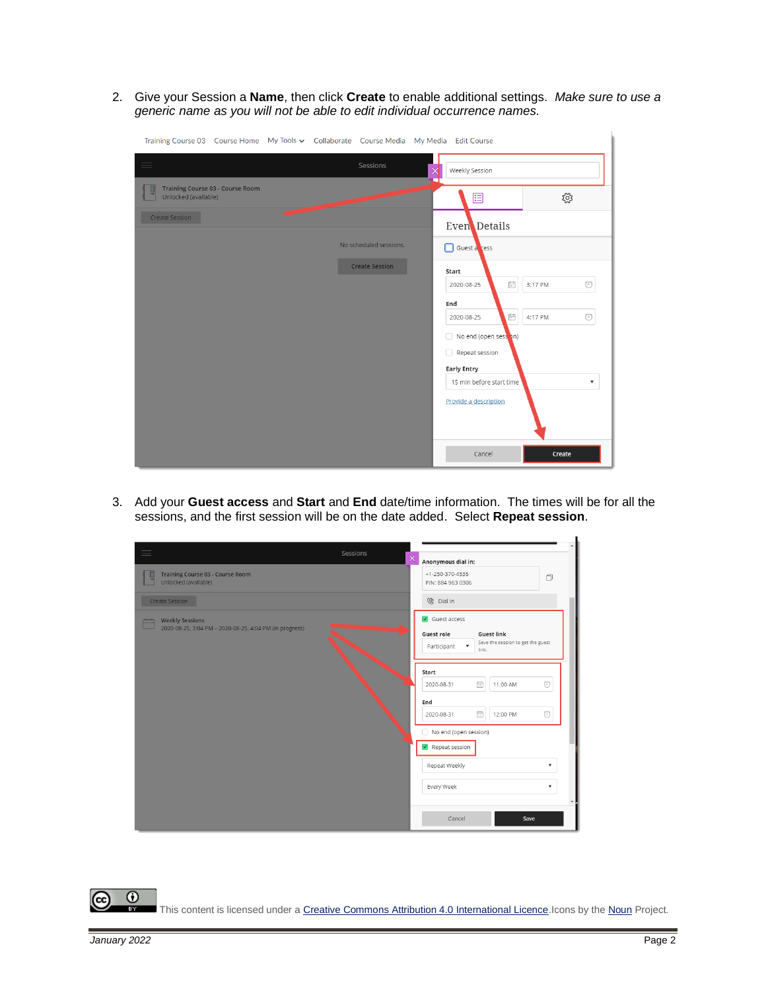2. Give your Session a **Name**, then click **Create** to enable additional settings. *Make sure to use a generic name as you will not be able to edit individual occurrence names.*

| Training Course 03 Course Home My Tools v Collaborate Course Media My Media Edit Course |                        |                                                                     |                           |
|-----------------------------------------------------------------------------------------|------------------------|---------------------------------------------------------------------|---------------------------|
| $\equiv$                                                                                | Sessions               | Weekly Session<br>$\times$                                          |                           |
| Training Course 03 - Course Room<br>Unlocked (available)                                |                        | 逼                                                                   | ૹૢ૽ૺ                      |
| Create Session                                                                          |                        | Even Details                                                        |                           |
|                                                                                         | No scheduled sessions. | Guest a cess                                                        |                           |
|                                                                                         | <b>Create Session</b>  | Start                                                               |                           |
|                                                                                         |                        | $\widehat{\boxplus}$<br>2020-08-25                                  | $\circledcirc$<br>3:17 PM |
|                                                                                         |                        | End<br>$\begin{bmatrix} 0 & 0 \\ 0 & 0 \end{bmatrix}$<br>2020-08-25 | $\odot$<br>4:17 PM        |
|                                                                                         |                        | No end (open sesson)                                                |                           |
|                                                                                         |                        | Repeat session                                                      |                           |
|                                                                                         |                        | <b>Early Entry</b>                                                  | $\overline{\mathbf{v}}$   |
|                                                                                         |                        | 15 min before start time<br>Provide a description                   |                           |
|                                                                                         |                        |                                                                     |                           |
|                                                                                         |                        | Cancel                                                              | Create                    |

3. Add your **Guest access** and **Start** and **End** date/time information. The times will be for all the sessions, and the first session will be on the date added. Select **Repeat session**.

| Sessions                                                                          |   |                                                                                                                                                      |
|-----------------------------------------------------------------------------------|---|------------------------------------------------------------------------------------------------------------------------------------------------------|
| Training Course 03 - Course Room<br>Unlocked (available)                          | × | Anonymous dial in:<br>$+1 - 250 - 370 - 4535$<br>$\Box$<br>PIN: 884 963 0306                                                                         |
| Create Session                                                                    |   | <sup> Dial In</sup>                                                                                                                                  |
| <b>Weekly Sessions</b><br>2020-08-25, 3:04 PM - 2020-08-25, 4:04 PM (in progress) |   | $\sqrt{ }$ Guest access<br><b>Guest link</b><br>Guest role<br>Save the session to get the guest<br>$\boldsymbol{\mathrm{v}}$<br>Participant<br>link. |
|                                                                                   |   | Start<br>m<br>⊙<br>11:00 AM<br>2020-08-31<br>End                                                                                                     |
|                                                                                   |   | Ē<br>$\odot$<br>2020-08-31<br>12:00 PM<br>No end (open session)<br>Repeat session                                                                    |
|                                                                                   |   | Repeat Weekly<br>$\overline{\mathbf{v}}$                                                                                                             |
|                                                                                   |   | Every Week<br>▼                                                                                                                                      |
|                                                                                   |   | Cancel<br>Save                                                                                                                                       |

 $\odot$ (cc ī3Y This content is licensed under a Creative Commons Attribution 4.0 International Licence. Icons by th[e Noun](https://creativecommons.org/website-icons/) Project.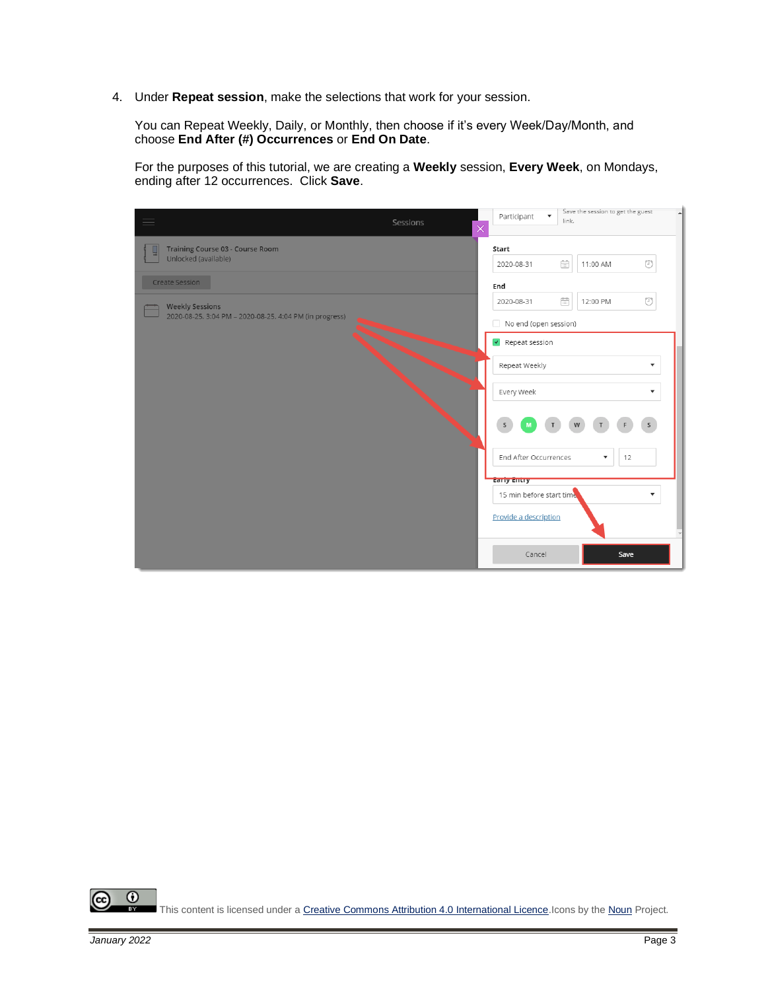4. Under **Repeat session**, make the selections that work for your session.

You can Repeat Weekly, Daily, or Monthly, then choose if it's every Week/Day/Month, and choose **End After (#) Occurrences** or **End On Date**.

For the purposes of this tutorial, we are creating a **Weekly** session, **Every Week**, on Mondays, ending after 12 occurrences. Click **Save**.

| Sessions                                                | Participant<br>$\boldsymbol{\mathrm{v}}$<br>$\times$ | link.                                                   | Save the session to get the guest |                |  |  |  |
|---------------------------------------------------------|------------------------------------------------------|---------------------------------------------------------|-----------------------------------|----------------|--|--|--|
| <b>Training Course 03 - Course Room</b>                 | Start                                                |                                                         |                                   |                |  |  |  |
| Unlocked (available)                                    | 2020-08-31                                           | $\begin{array}{ c } \hline 0 & 0 \\ \hline \end{array}$ | 11:00 AM                          | ⊙              |  |  |  |
| Create Session                                          | End                                                  |                                                         |                                   |                |  |  |  |
| <b>Weekly Sessions</b>                                  | 2020-08-31                                           | $\widehat{\boxplus}$                                    | 12:00 PM                          | $\circledcirc$ |  |  |  |
| 2020-08-25, 3:04 PM - 2020-08-25, 4:04 PM (in progress) | No end (open session)                                |                                                         |                                   |                |  |  |  |
|                                                         | $\sqrt{\phantom{a}}$ Repeat session                  |                                                         |                                   |                |  |  |  |
|                                                         | Repeat Weekly                                        | ▼                                                       |                                   |                |  |  |  |
|                                                         | Every Week                                           |                                                         |                                   | ▼              |  |  |  |
|                                                         | $\mathsf{s}$                                         |                                                         |                                   | $\mathsf{s}$   |  |  |  |
|                                                         | End After Occurrences                                |                                                         | 12<br>$\blacktriangledown$        |                |  |  |  |
|                                                         | <b>Early Entry</b>                                   |                                                         |                                   |                |  |  |  |
|                                                         | 15 min before start time                             |                                                         |                                   | ▼              |  |  |  |
|                                                         | Provide a description                                |                                                         |                                   |                |  |  |  |
|                                                         | Cancel                                               |                                                         | Save                              |                |  |  |  |

 $\odot$ (cc) ī3. This content is licensed under [a Creative Commons Attribution 4.0 International Licence.I](https://creativecommons.org/licenses/by/4.0/)cons by th[e Noun](https://creativecommons.org/website-icons/) Project.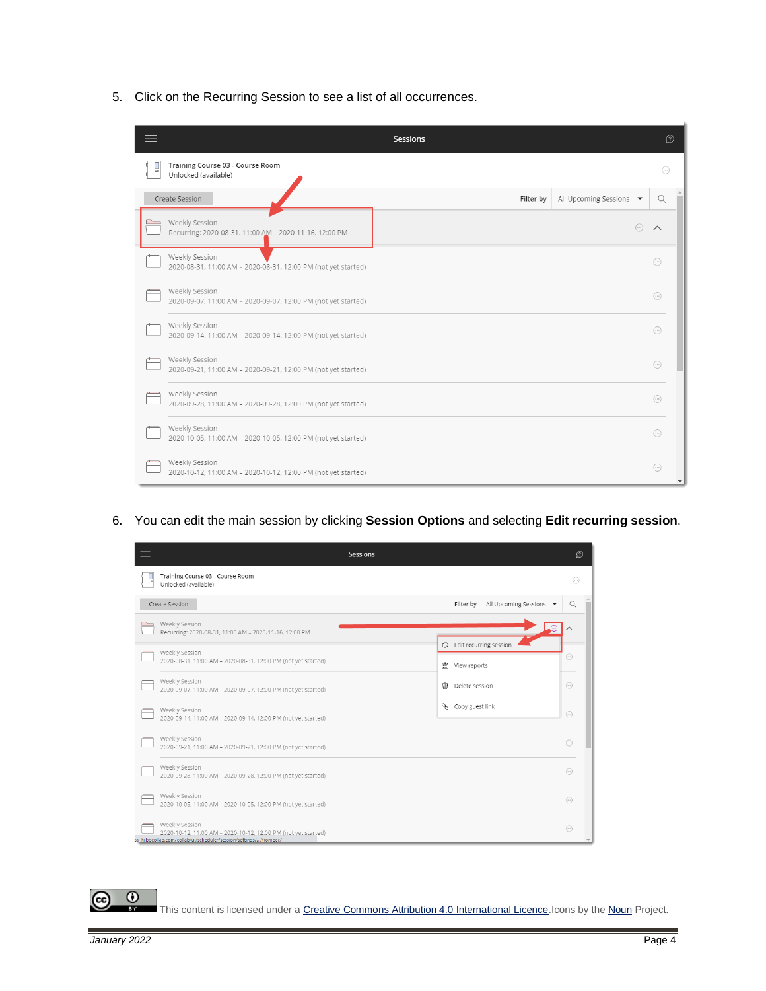5. Click on the Recurring Session to see a list of all occurrences.

|                                                                                 | <b>Sessions</b> |                                             | D                       |
|---------------------------------------------------------------------------------|-----------------|---------------------------------------------|-------------------------|
| Training Course 03 - Course Room<br>Unlocked (available)                        |                 |                                             | $\bigodot$              |
| Create Session                                                                  | Filter by       | All Upcoming Sessions $\blacktriangleright$ | Q                       |
| Weekly Session<br>Recurring: 2020-08-31, 11:00 AM - 2020-11-16, 12:00 PM        |                 | $\left(\cdots\right)$                       | $\wedge$                |
| Weekly Session<br>2020-08-31, 11:00 AM - 2020-08-31, 12:00 PM (not yet started) |                 |                                             | $\left( \dots \right)$  |
| Weekly Session<br>2020-09-07, 11:00 AM - 2020-09-07, 12:00 PM (not yet started) |                 |                                             | $\left(\ldots\right)$   |
| Weekly Session<br>2020-09-14, 11:00 AM - 2020-09-14, 12:00 PM (not yet started) |                 |                                             | $\left( \dots \right)$  |
| Weekly Session<br>2020-09-21, 11:00 AM - 2020-09-21, 12:00 PM (not yet started) |                 |                                             | $\left( \dots \right)$  |
| Weekly Session<br>2020-09-28, 11:00 AM - 2020-09-28, 12:00 PM (not yet started) |                 |                                             | $(\dots)$               |
| Weekly Session<br>2020-10-05, 11:00 AM - 2020-10-05, 12:00 PM (not yet started) |                 |                                             | $\left( \ldots \right)$ |
| Weekly Session<br>2020-10-12, 11:00 AM - 2020-10-12, 12:00 PM (not yet started) |                 |                                             | $\bigodot$              |

6. You can edit the main session by clicking **Session Options** and selecting **Edit recurring session**.

| 三 | <b>Sessions</b>                                                                                                                                       |                     |                 |                                 |                         | റ |
|---|-------------------------------------------------------------------------------------------------------------------------------------------------------|---------------------|-----------------|---------------------------------|-------------------------|---|
|   | Training Course 03 - Course Room<br>Unlocked (available)                                                                                              |                     |                 |                                 | $(\cdots)$              |   |
|   | Create Session                                                                                                                                        |                     | Filter by       | All Upcoming Sessions -         | Q                       |   |
|   | Weekly Session<br>Recurring: 2020-08-31, 11:00 AM - 2020-11-16, 12:00 PM                                                                              |                     |                 |                                 |                         |   |
|   | Weekly Session                                                                                                                                        |                     |                 | <b>Q</b> Edit recurring session |                         |   |
|   | 2020-08-31, 11:00 AM - 2020-08-31, 12:00 PM (not yet started)                                                                                         | 启<br>View reports   |                 |                                 | $(\cdot \cdot \cdot)$   |   |
|   | Weekly Session<br>2020-09-07, 11:00 AM - 2020-09-07, 12:00 PM (not yet started)                                                                       | Delete session<br>Ŵ |                 |                                 | $\left( \dots \right)$  |   |
|   | Weekly Session<br>2020-09-14, 11:00 AM - 2020-09-14, 12:00 PM (not yet started)                                                                       | Š.                  | Copy guest link |                                 | $\left( \ldots \right)$ |   |
|   | Weekly Session<br>2020-09-21, 11:00 AM - 2020-09-21, 12:00 PM (not yet started)                                                                       |                     |                 |                                 | $\left( \dots \right)$  |   |
|   | Weekly Session<br>2020-09-28, 11:00 AM - 2020-09-28, 12:00 PM (not yet started)                                                                       |                     |                 |                                 | $\bigodot$              |   |
|   | Weekly Session<br>2020-10-05, 11:00 AM - 2020-10-05, 12:00 PM (not yet started)                                                                       |                     |                 |                                 | $(\dots)$               |   |
|   | Weekly Session<br>2020-10-12, 11:00 AM - 2020-10-12, 12:00 PM (not yet started)<br>ca-lti.bbcollab.com/collab/ui/scheduler/session/settings//fromocc/ |                     |                 |                                 | $\bigcirc$              |   |

This content is licensed under [a Creative Commons Attribution 4.0 International Licence.I](https://creativecommons.org/licenses/by/4.0/)cons by th[e Noun](https://creativecommons.org/website-icons/) Project.

(cc)

 $\odot$ 

 $\bar{\mathbf{r}}$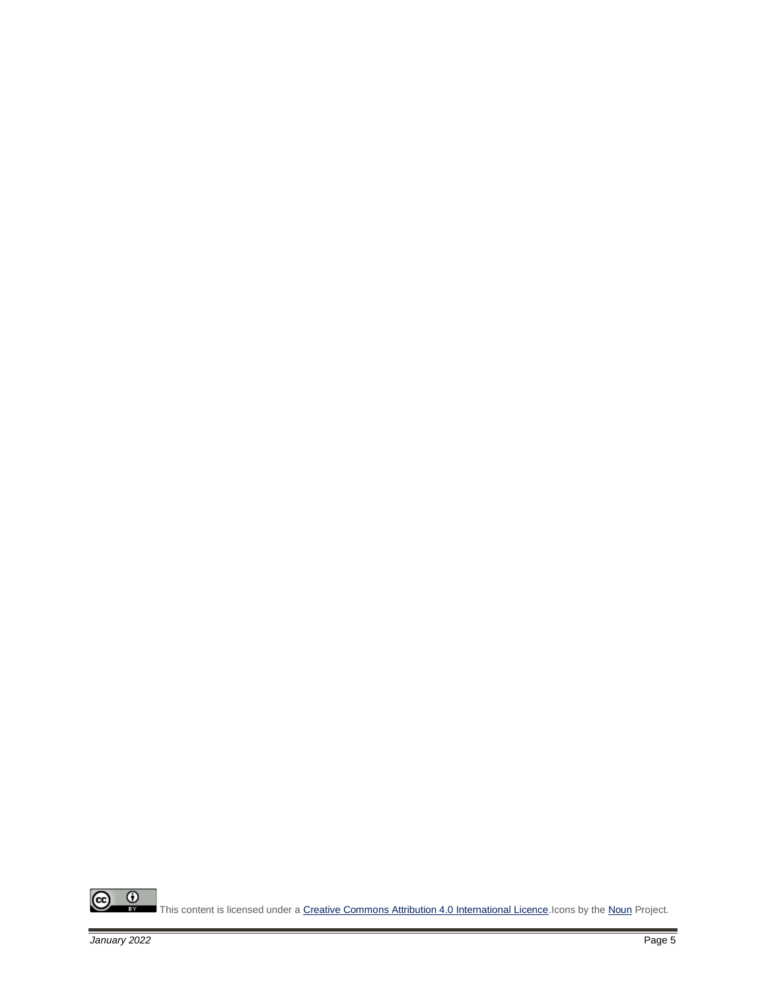$\frac{1}{\sqrt{2}}$  $\odot$ This content is licensed under [a Creative Commons Attribution 4.0 International Licence.I](https://creativecommons.org/licenses/by/4.0/)cons by th[e Noun](https://creativecommons.org/website-icons/) Project.